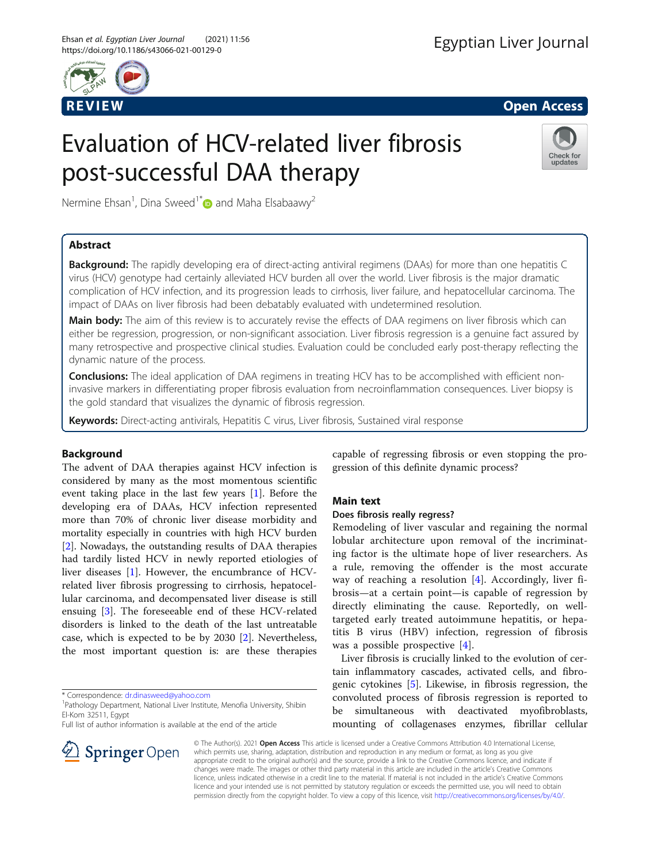

R EVI EW Open Access

# Evaluation of HCV-related liver fibrosis post-successful DAA therapy



Nermine Ehsan<sup>1</sup>, Dina Sweed<sup>1\*</sup> and Maha Elsabaawy<sup>2</sup>

# Abstract

**Background:** The rapidly developing era of direct-acting antiviral regimens (DAAs) for more than one hepatitis C virus (HCV) genotype had certainly alleviated HCV burden all over the world. Liver fibrosis is the major dramatic complication of HCV infection, and its progression leads to cirrhosis, liver failure, and hepatocellular carcinoma. The impact of DAAs on liver fibrosis had been debatably evaluated with undetermined resolution.

Main body: The aim of this review is to accurately revise the effects of DAA regimens on liver fibrosis which can either be regression, progression, or non-significant association. Liver fibrosis regression is a genuine fact assured by many retrospective and prospective clinical studies. Evaluation could be concluded early post-therapy reflecting the dynamic nature of the process.

**Conclusions:** The ideal application of DAA regimens in treating HCV has to be accomplished with efficient noninvasive markers in differentiating proper fibrosis evaluation from necroinflammation consequences. Liver biopsy is the gold standard that visualizes the dynamic of fibrosis regression.

Keywords: Direct-acting antivirals, Hepatitis C virus, Liver fibrosis, Sustained viral response

# Background

The advent of DAA therapies against HCV infection is considered by many as the most momentous scientific event taking place in the last few years [\[1](#page-4-0)]. Before the developing era of DAAs, HCV infection represented more than 70% of chronic liver disease morbidity and mortality especially in countries with high HCV burden [[2\]](#page-4-0). Nowadays, the outstanding results of DAA therapies had tardily listed HCV in newly reported etiologies of liver diseases [[1\]](#page-4-0). However, the encumbrance of HCVrelated liver fibrosis progressing to cirrhosis, hepatocellular carcinoma, and decompensated liver disease is still ensuing [[3\]](#page-4-0). The foreseeable end of these HCV-related disorders is linked to the death of the last untreatable case, which is expected to be by 2030 [[2\]](#page-4-0). Nevertheless, the most important question is: are these therapies

\* Correspondence: [dr.dinasweed@yahoo.com](mailto:dr.dinasweed@yahoo.com) <sup>1</sup>

<sup>1</sup> Pathology Department, National Liver Institute, Menofia University, Shibin El-Kom 32511, Egypt

Full list of author information is available at the end of the article



# Main text

# Does fibrosis really regress?

Remodeling of liver vascular and regaining the normal lobular architecture upon removal of the incriminating factor is the ultimate hope of liver researchers. As a rule, removing the offender is the most accurate way of reaching a resolution [\[4](#page-4-0)]. Accordingly, liver fibrosis—at a certain point—is capable of regression by directly eliminating the cause. Reportedly, on welltargeted early treated autoimmune hepatitis, or hepatitis B virus (HBV) infection, regression of fibrosis was a possible prospective [[4](#page-4-0)].

Liver fibrosis is crucially linked to the evolution of certain inflammatory cascades, activated cells, and fibrogenic cytokines [[5\]](#page-4-0). Likewise, in fibrosis regression, the convoluted process of fibrosis regression is reported to be simultaneous with deactivated myofibroblasts, mounting of collagenases enzymes, fibrillar cellular

© The Author(s). 2021 Open Access This article is licensed under a Creative Commons Attribution 4.0 International License, which permits use, sharing, adaptation, distribution and reproduction in any medium or format, as long as you give appropriate credit to the original author(s) and the source, provide a link to the Creative Commons licence, and indicate if changes were made. The images or other third party material in this article are included in the article's Creative Commons licence, unless indicated otherwise in a credit line to the material. If material is not included in the article's Creative Commons licence and your intended use is not permitted by statutory regulation or exceeds the permitted use, you will need to obtain permission directly from the copyright holder. To view a copy of this licence, visit <http://creativecommons.org/licenses/by/4.0/>.

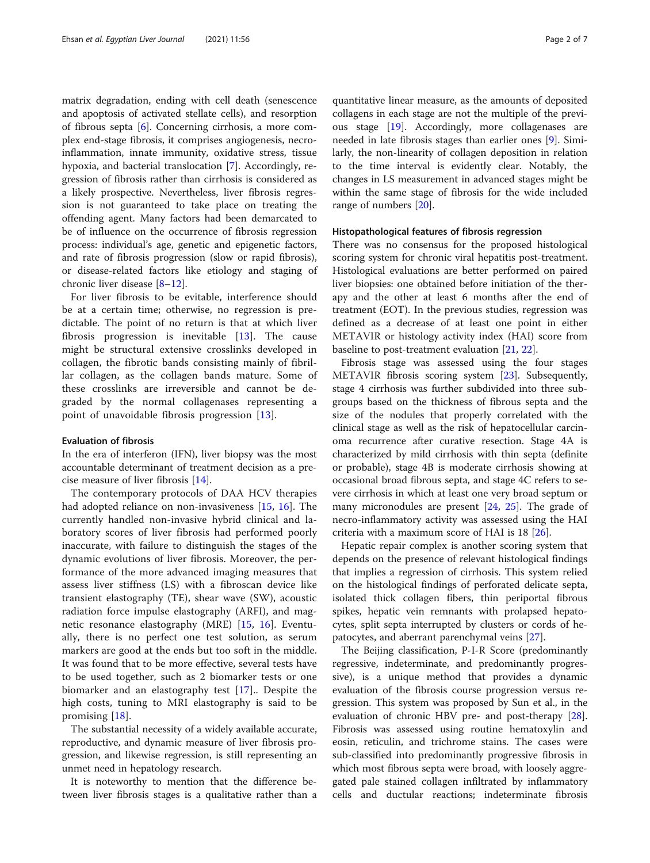matrix degradation, ending with cell death (senescence and apoptosis of activated stellate cells), and resorption of fibrous septa [[6\]](#page-4-0). Concerning cirrhosis, a more complex end-stage fibrosis, it comprises angiogenesis, necroinflammation, innate immunity, oxidative stress, tissue hypoxia, and bacterial translocation [\[7](#page-4-0)]. Accordingly, regression of fibrosis rather than cirrhosis is considered as a likely prospective. Nevertheless, liver fibrosis regression is not guaranteed to take place on treating the offending agent. Many factors had been demarcated to be of influence on the occurrence of fibrosis regression process: individual's age, genetic and epigenetic factors, and rate of fibrosis progression (slow or rapid fibrosis), or disease-related factors like etiology and staging of chronic liver disease [[8](#page-4-0)–[12](#page-4-0)].

For liver fibrosis to be evitable, interference should be at a certain time; otherwise, no regression is predictable. The point of no return is that at which liver fibrosis progression is inevitable [[13\]](#page-4-0). The cause might be structural extensive crosslinks developed in collagen, the fibrotic bands consisting mainly of fibrillar collagen, as the collagen bands mature. Some of these crosslinks are irreversible and cannot be degraded by the normal collagenases representing a point of unavoidable fibrosis progression [\[13](#page-4-0)].

# Evaluation of fibrosis

In the era of interferon (IFN), liver biopsy was the most accountable determinant of treatment decision as a precise measure of liver fibrosis [[14\]](#page-4-0).

The contemporary protocols of DAA HCV therapies had adopted reliance on non-invasiveness [\[15](#page-4-0), [16](#page-5-0)]. The currently handled non-invasive hybrid clinical and laboratory scores of liver fibrosis had performed poorly inaccurate, with failure to distinguish the stages of the dynamic evolutions of liver fibrosis. Moreover, the performance of the more advanced imaging measures that assess liver stiffness (LS) with a fibroscan device like transient elastography (TE), shear wave (SW), acoustic radiation force impulse elastography (ARFI), and magnetic resonance elastography (MRE) [[15,](#page-4-0) [16\]](#page-5-0). Eventually, there is no perfect one test solution, as serum markers are good at the ends but too soft in the middle. It was found that to be more effective, several tests have to be used together, such as 2 biomarker tests or one biomarker and an elastography test [[17\]](#page-5-0).. Despite the high costs, tuning to MRI elastography is said to be promising [[18\]](#page-5-0).

The substantial necessity of a widely available accurate, reproductive, and dynamic measure of liver fibrosis progression, and likewise regression, is still representing an unmet need in hepatology research.

It is noteworthy to mention that the difference between liver fibrosis stages is a qualitative rather than a

quantitative linear measure, as the amounts of deposited collagens in each stage are not the multiple of the previous stage [[19\]](#page-5-0). Accordingly, more collagenases are needed in late fibrosis stages than earlier ones [\[9\]](#page-4-0). Similarly, the non-linearity of collagen deposition in relation to the time interval is evidently clear. Notably, the changes in LS measurement in advanced stages might be within the same stage of fibrosis for the wide included range of numbers [\[20\]](#page-5-0).

# Histopathological features of fibrosis regression

There was no consensus for the proposed histological scoring system for chronic viral hepatitis post-treatment. Histological evaluations are better performed on paired liver biopsies: one obtained before initiation of the therapy and the other at least 6 months after the end of treatment (EOT). In the previous studies, regression was defined as a decrease of at least one point in either METAVIR or histology activity index (HAI) score from baseline to post-treatment evaluation [\[21](#page-5-0), [22\]](#page-5-0).

Fibrosis stage was assessed using the four stages METAVIR fibrosis scoring system [[23](#page-5-0)]. Subsequently, stage 4 cirrhosis was further subdivided into three subgroups based on the thickness of fibrous septa and the size of the nodules that properly correlated with the clinical stage as well as the risk of hepatocellular carcinoma recurrence after curative resection. Stage 4A is characterized by mild cirrhosis with thin septa (definite or probable), stage 4B is moderate cirrhosis showing at occasional broad fibrous septa, and stage 4C refers to severe cirrhosis in which at least one very broad septum or many micronodules are present [[24,](#page-5-0) [25](#page-5-0)]. The grade of necro-inflammatory activity was assessed using the HAI criteria with a maximum score of HAI is 18 [\[26](#page-5-0)].

Hepatic repair complex is another scoring system that depends on the presence of relevant histological findings that implies a regression of cirrhosis. This system relied on the histological findings of perforated delicate septa, isolated thick collagen fibers, thin periportal fibrous spikes, hepatic vein remnants with prolapsed hepatocytes, split septa interrupted by clusters or cords of hepatocytes, and aberrant parenchymal veins [\[27\]](#page-5-0).

The Beijing classification, P-I-R Score (predominantly regressive, indeterminate, and predominantly progressive), is a unique method that provides a dynamic evaluation of the fibrosis course progression versus regression. This system was proposed by Sun et al., in the evaluation of chronic HBV pre- and post-therapy [\[28](#page-5-0)]. Fibrosis was assessed using routine hematoxylin and eosin, reticulin, and trichrome stains. The cases were sub-classified into predominantly progressive fibrosis in which most fibrous septa were broad, with loosely aggregated pale stained collagen infiltrated by inflammatory cells and ductular reactions; indeterminate fibrosis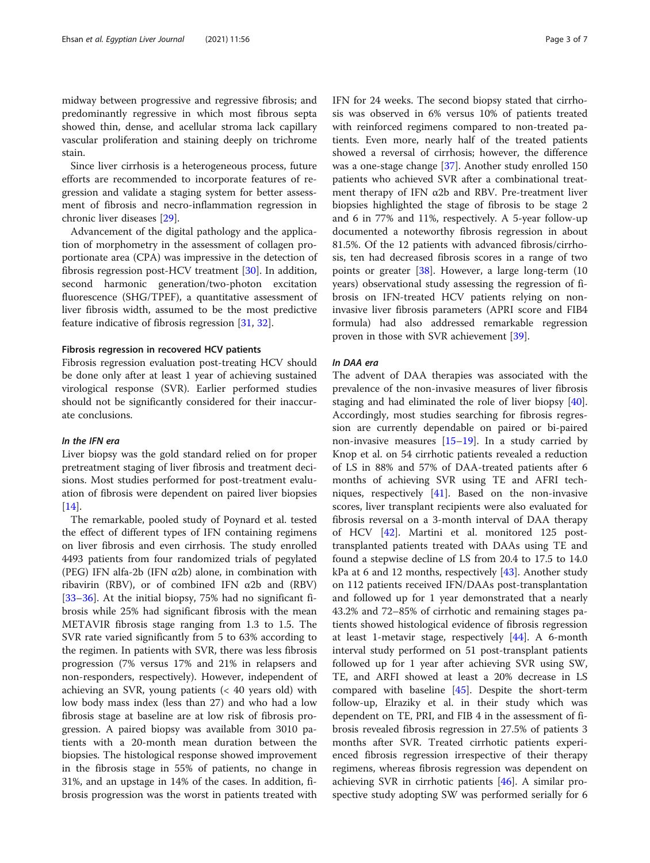midway between progressive and regressive fibrosis; and predominantly regressive in which most fibrous septa showed thin, dense, and acellular stroma lack capillary vascular proliferation and staining deeply on trichrome stain.

Since liver cirrhosis is a heterogeneous process, future efforts are recommended to incorporate features of regression and validate a staging system for better assessment of fibrosis and necro-inflammation regression in chronic liver diseases [[29](#page-5-0)].

Advancement of the digital pathology and the application of morphometry in the assessment of collagen proportionate area (CPA) was impressive in the detection of fibrosis regression post-HCV treatment [[30\]](#page-5-0). In addition, second harmonic generation/two-photon excitation fluorescence (SHG/TPEF), a quantitative assessment of liver fibrosis width, assumed to be the most predictive feature indicative of fibrosis regression [[31,](#page-5-0) [32\]](#page-5-0).

# Fibrosis regression in recovered HCV patients

Fibrosis regression evaluation post-treating HCV should be done only after at least 1 year of achieving sustained virological response (SVR). Earlier performed studies should not be significantly considered for their inaccurate conclusions.

# In the IFN era

Liver biopsy was the gold standard relied on for proper pretreatment staging of liver fibrosis and treatment decisions. Most studies performed for post-treatment evaluation of fibrosis were dependent on paired liver biopsies [[14\]](#page-4-0).

The remarkable, pooled study of Poynard et al. tested the effect of different types of IFN containing regimens on liver fibrosis and even cirrhosis. The study enrolled 4493 patients from four randomized trials of pegylated (PEG) IFN alfa-2b (IFN  $\alpha$ 2b) alone, in combination with ribavirin (RBV), or of combined IFN  $\alpha$ 2b and (RBV) [[33](#page-5-0)–[36](#page-5-0)]. At the initial biopsy, 75% had no significant fibrosis while 25% had significant fibrosis with the mean METAVIR fibrosis stage ranging from 1.3 to 1.5. The SVR rate varied significantly from 5 to 63% according to the regimen. In patients with SVR, there was less fibrosis progression (7% versus 17% and 21% in relapsers and non-responders, respectively). However, independent of achieving an SVR, young patients (< 40 years old) with low body mass index (less than 27) and who had a low fibrosis stage at baseline are at low risk of fibrosis progression. A paired biopsy was available from 3010 patients with a 20-month mean duration between the biopsies. The histological response showed improvement in the fibrosis stage in 55% of patients, no change in 31%, and an upstage in 14% of the cases. In addition, fibrosis progression was the worst in patients treated with IFN for 24 weeks. The second biopsy stated that cirrhosis was observed in 6% versus 10% of patients treated with reinforced regimens compared to non-treated patients. Even more, nearly half of the treated patients showed a reversal of cirrhosis; however, the difference was a one-stage change [\[37\]](#page-5-0). Another study enrolled 150 patients who achieved SVR after a combinational treatment therapy of IFN  $\alpha$ 2b and RBV. Pre-treatment liver biopsies highlighted the stage of fibrosis to be stage 2 and 6 in 77% and 11%, respectively. A 5-year follow-up documented a noteworthy fibrosis regression in about 81.5%. Of the 12 patients with advanced fibrosis/cirrhosis, ten had decreased fibrosis scores in a range of two points or greater [\[38\]](#page-5-0). However, a large long-term (10 years) observational study assessing the regression of fibrosis on IFN-treated HCV patients relying on noninvasive liver fibrosis parameters (APRI score and FIB4 formula) had also addressed remarkable regression proven in those with SVR achievement [\[39](#page-5-0)].

## In DAA era

The advent of DAA therapies was associated with the prevalence of the non-invasive measures of liver fibrosis staging and had eliminated the role of liver biopsy [\[40](#page-5-0)]. Accordingly, most studies searching for fibrosis regression are currently dependable on paired or bi-paired non-invasive measures [\[15](#page-4-0)–[19\]](#page-5-0). In a study carried by Knop et al. on 54 cirrhotic patients revealed a reduction of LS in 88% and 57% of DAA-treated patients after 6 months of achieving SVR using TE and AFRI techniques, respectively [[41\]](#page-5-0). Based on the non-invasive scores, liver transplant recipients were also evaluated for fibrosis reversal on a 3-month interval of DAA therapy of HCV [[42\]](#page-5-0). Martini et al. monitored 125 posttransplanted patients treated with DAAs using TE and found a stepwise decline of LS from 20.4 to 17.5 to 14.0 kPa at 6 and 12 months, respectively  $[43]$  $[43]$  $[43]$ . Another study on 112 patients received IFN/DAAs post-transplantation and followed up for 1 year demonstrated that a nearly 43.2% and 72–85% of cirrhotic and remaining stages patients showed histological evidence of fibrosis regression at least 1-metavir stage, respectively [\[44\]](#page-5-0). A 6-month interval study performed on 51 post-transplant patients followed up for 1 year after achieving SVR using SW, TE, and ARFI showed at least a 20% decrease in LS compared with baseline [\[45](#page-5-0)]. Despite the short-term follow-up, Elraziky et al. in their study which was dependent on TE, PRI, and FIB 4 in the assessment of fibrosis revealed fibrosis regression in 27.5% of patients 3 months after SVR. Treated cirrhotic patients experienced fibrosis regression irrespective of their therapy regimens, whereas fibrosis regression was dependent on achieving SVR in cirrhotic patients [\[46\]](#page-6-0). A similar prospective study adopting SW was performed serially for 6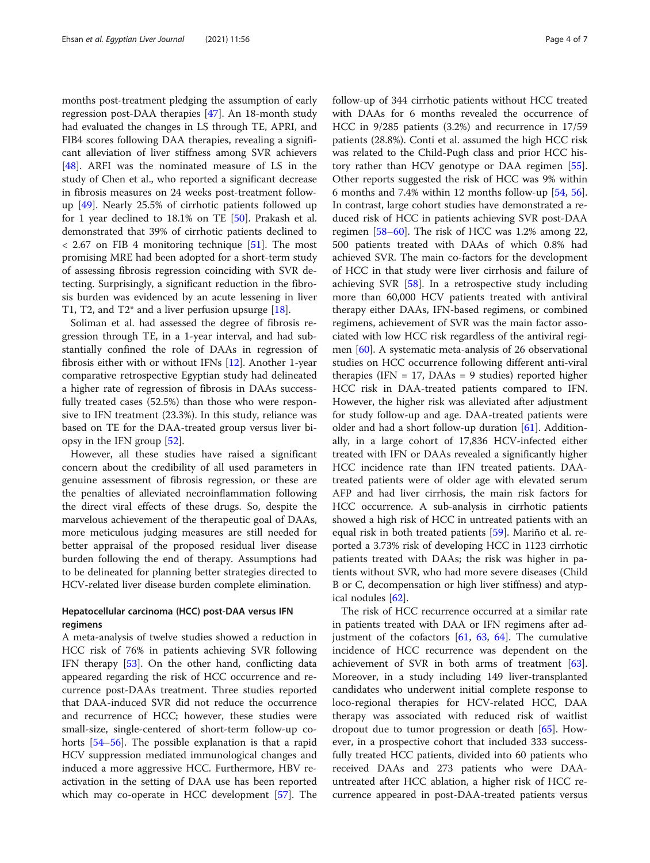months post-treatment pledging the assumption of early regression post-DAA therapies [\[47](#page-6-0)]. An 18-month study had evaluated the changes in LS through TE, APRI, and FIB4 scores following DAA therapies, revealing a significant alleviation of liver stiffness among SVR achievers [[48\]](#page-6-0). ARFI was the nominated measure of LS in the study of Chen et al., who reported a significant decrease in fibrosis measures on 24 weeks post-treatment followup [[49](#page-6-0)]. Nearly 25.5% of cirrhotic patients followed up for 1 year declined to 18.1% on TE [[50](#page-6-0)]. Prakash et al. demonstrated that 39% of cirrhotic patients declined to < 2.67 on FIB 4 monitoring technique [[51\]](#page-6-0). The most promising MRE had been adopted for a short-term study of assessing fibrosis regression coinciding with SVR detecting. Surprisingly, a significant reduction in the fibrosis burden was evidenced by an acute lessening in liver T1, T2, and T2\* and a liver perfusion upsurge [\[18](#page-5-0)].

Soliman et al. had assessed the degree of fibrosis regression through TE, in a 1-year interval, and had substantially confined the role of DAAs in regression of fibrosis either with or without IFNs [[12](#page-4-0)]. Another 1-year comparative retrospective Egyptian study had delineated a higher rate of regression of fibrosis in DAAs successfully treated cases (52.5%) than those who were responsive to IFN treatment (23.3%). In this study, reliance was based on TE for the DAA-treated group versus liver biopsy in the IFN group [[52\]](#page-6-0).

However, all these studies have raised a significant concern about the credibility of all used parameters in genuine assessment of fibrosis regression, or these are the penalties of alleviated necroinflammation following the direct viral effects of these drugs. So, despite the marvelous achievement of the therapeutic goal of DAAs, more meticulous judging measures are still needed for better appraisal of the proposed residual liver disease burden following the end of therapy. Assumptions had to be delineated for planning better strategies directed to HCV-related liver disease burden complete elimination.

# Hepatocellular carcinoma (HCC) post-DAA versus IFN regimens

A meta-analysis of twelve studies showed a reduction in HCC risk of 76% in patients achieving SVR following IFN therapy [[53\]](#page-6-0). On the other hand, conflicting data appeared regarding the risk of HCC occurrence and recurrence post-DAAs treatment. Three studies reported that DAA-induced SVR did not reduce the occurrence and recurrence of HCC; however, these studies were small-size, single-centered of short-term follow-up cohorts [\[54](#page-6-0)–[56\]](#page-6-0). The possible explanation is that a rapid HCV suppression mediated immunological changes and induced a more aggressive HCC. Furthermore, HBV reactivation in the setting of DAA use has been reported which may co-operate in HCC development [\[57](#page-6-0)]. The follow-up of 344 cirrhotic patients without HCC treated with DAAs for 6 months revealed the occurrence of HCC in 9/285 patients (3.2%) and recurrence in 17/59 patients (28.8%). Conti et al. assumed the high HCC risk was related to the Child-Pugh class and prior HCC history rather than HCV genotype or DAA regimen [\[55](#page-6-0)]. Other reports suggested the risk of HCC was 9% within 6 months and 7.4% within 12 months follow-up [\[54](#page-6-0), [56](#page-6-0)]. In contrast, large cohort studies have demonstrated a reduced risk of HCC in patients achieving SVR post-DAA regimen [[58](#page-6-0)–[60](#page-6-0)]. The risk of HCC was 1.2% among 22, 500 patients treated with DAAs of which 0.8% had achieved SVR. The main co-factors for the development of HCC in that study were liver cirrhosis and failure of achieving SVR [[58](#page-6-0)]. In a retrospective study including more than 60,000 HCV patients treated with antiviral therapy either DAAs, IFN-based regimens, or combined regimens, achievement of SVR was the main factor associated with low HCC risk regardless of the antiviral regimen [[60\]](#page-6-0). A systematic meta-analysis of 26 observational studies on HCC occurrence following different anti-viral therapies (IFN  $= 17$ , DAAs  $= 9$  studies) reported higher HCC risk in DAA-treated patients compared to IFN. However, the higher risk was alleviated after adjustment for study follow-up and age. DAA-treated patients were older and had a short follow-up duration  $[61]$  $[61]$ . Additionally, in a large cohort of 17,836 HCV-infected either treated with IFN or DAAs revealed a significantly higher HCC incidence rate than IFN treated patients. DAAtreated patients were of older age with elevated serum AFP and had liver cirrhosis, the main risk factors for HCC occurrence. A sub-analysis in cirrhotic patients showed a high risk of HCC in untreated patients with an equal risk in both treated patients [[59](#page-6-0)]. Mariño et al. reported a 3.73% risk of developing HCC in 1123 cirrhotic patients treated with DAAs; the risk was higher in patients without SVR, who had more severe diseases (Child B or C, decompensation or high liver stiffness) and atypical nodules [\[62](#page-6-0)].

The risk of HCC recurrence occurred at a similar rate in patients treated with DAA or IFN regimens after adjustment of the cofactors  $[61, 63, 64]$  $[61, 63, 64]$  $[61, 63, 64]$  $[61, 63, 64]$  $[61, 63, 64]$  $[61, 63, 64]$ . The cumulative incidence of HCC recurrence was dependent on the achievement of SVR in both arms of treatment  $[63]$  $[63]$ . Moreover, in a study including 149 liver-transplanted candidates who underwent initial complete response to loco-regional therapies for HCV-related HCC, DAA therapy was associated with reduced risk of waitlist dropout due to tumor progression or death [\[65](#page-6-0)]. However, in a prospective cohort that included 333 successfully treated HCC patients, divided into 60 patients who received DAAs and 273 patients who were DAAuntreated after HCC ablation, a higher risk of HCC recurrence appeared in post-DAA-treated patients versus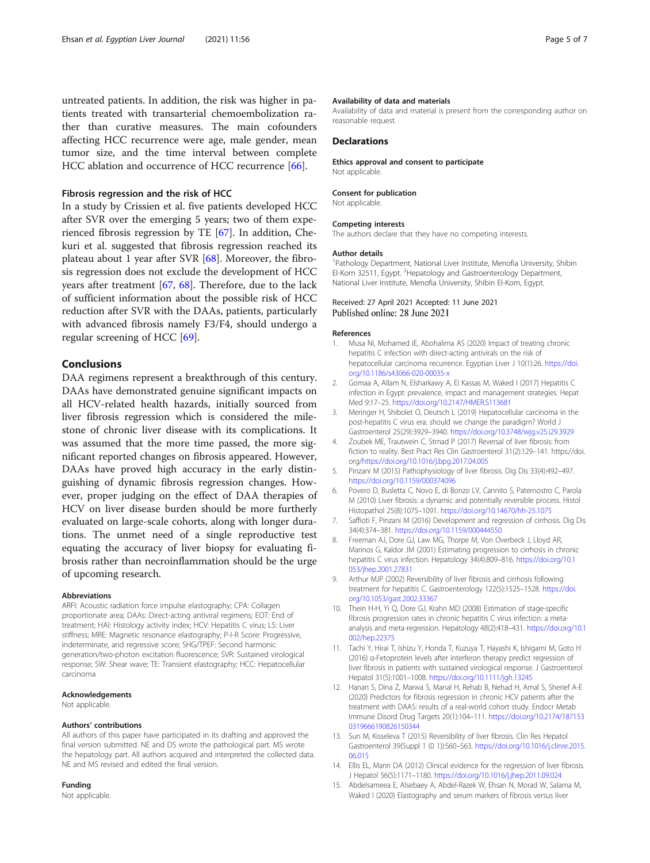<span id="page-4-0"></span>untreated patients. In addition, the risk was higher in patients treated with transarterial chemoembolization rather than curative measures. The main cofounders affecting HCC recurrence were age, male gender, mean tumor size, and the time interval between complete HCC ablation and occurrence of HCC recurrence [[66\]](#page-6-0).

## Fibrosis regression and the risk of HCC

In a study by Crissien et al. five patients developed HCC after SVR over the emerging 5 years; two of them experienced fibrosis regression by TE [\[67](#page-6-0)]. In addition, Chekuri et al. suggested that fibrosis regression reached its plateau about 1 year after SVR [[68](#page-6-0)]. Moreover, the fibrosis regression does not exclude the development of HCC years after treatment [[67,](#page-6-0) [68\]](#page-6-0). Therefore, due to the lack of sufficient information about the possible risk of HCC reduction after SVR with the DAAs, patients, particularly with advanced fibrosis namely F3/F4, should undergo a regular screening of HCC [[69\]](#page-6-0).

## Conclusions

DAA regimens represent a breakthrough of this century. DAAs have demonstrated genuine significant impacts on all HCV-related health hazards, initially sourced from liver fibrosis regression which is considered the milestone of chronic liver disease with its complications. It was assumed that the more time passed, the more significant reported changes on fibrosis appeared. However, DAAs have proved high accuracy in the early distinguishing of dynamic fibrosis regression changes. However, proper judging on the effect of DAA therapies of HCV on liver disease burden should be more furtherly evaluated on large-scale cohorts, along with longer durations. The unmet need of a single reproductive test equating the accuracy of liver biopsy for evaluating fibrosis rather than necroinflammation should be the urge of upcoming research.

#### Abbreviations

ARFI: Acoustic radiation force impulse elastography; CPA: Collagen proportionate area; DAAs: Direct-acting antiviral regimens; EOT: End of treatment; HAI: Histology activity index; HCV: Hepatitis C virus; LS: Liver stiffness; MRE: Magnetic resonance elastography; P-I-R Score: Progressive, indeterminate, and regressive score; SHG/TPEF: Second harmonic generation/two-photon excitation fluorescence; SVR: Sustained virological response; SW: Shear wave; TE: Transient elastography; HCC: Hepatocellular carcinoma

#### Acknowledgements

Not applicable.

#### Authors' contributions

All authors of this paper have participated in its drafting and approved the final version submitted. NE and DS wrote the pathological part. MS wrote the hepatology part. All authors acquired and interpreted the collected data. NE and MS revised and edited the final version.

# Funding

Not applicable.

#### Availability of data and materials

Availability of data and material is present from the corresponding author on reasonable request.

## **Declarations**

Ethics approval and consent to participate Not applicable.

#### Consent for publication

Not applicable.

#### Competing interests

The authors declare that they have no competing interests.

#### Author details

<sup>1</sup>Pathology Department, National Liver Institute, Menofia University, Shibin El-Kom 32511, Egypt. <sup>2</sup> Hepatology and Gastroenterology Department National Liver Institute, Menofia University, Shibin El-Kom, Egypt.

# Received: 27 April 2021 Accepted: 11 June 2021 Published online: 28 June 2021

#### References

- 1. Musa NI, Mohamed IE, Abohalima AS (2020) Impact of treating chronic hepatitis C infection with direct-acting antivirals on the risk of hepatocellular carcinoma recurrence. Egyptian Liver J 10(1):26. [https://doi.](https://doi.org/10.1186/s43066-020-00035-x) [org/10.1186/s43066-020-00035-x](https://doi.org/10.1186/s43066-020-00035-x)
- 2. Gomaa A, Allam N, Elsharkawy A, El Kassas M, Waked I (2017) Hepatitis C infection in Egypt: prevalence, impact and management strategies. Hepat Med 9:17–25. <https://doi.org/10.2147/HMER.S113681>
- 3. Meringer H, Shibolet O, Deutsch L (2019) Hepatocellular carcinoma in the post-hepatitis C virus era: should we change the paradigm? World J Gastroenterol 25(29):3929–3940. <https://doi.org/10.3748/wjg.v25.i29.3929>
- 4. Zoubek ME, Trautwein C, Strnad P (2017) Reversal of liver fibrosis: from fiction to reality. Best Pract Res Clin Gastroenterol 31(2):129–141. https://doi. org/<https://doi.org/10.1016/j.bpg.2017.04.005>
- 5. Pinzani M (2015) Pathophysiology of liver fibrosis. Dig Dis 33(4):492–497. <https://doi.org/10.1159/000374096>
- 6. Povero D, Busletta C, Novo E, di Bonzo LV, Cannito S, Paternostro C, Parola M (2010) Liver fibrosis: a dynamic and potentially reversible process. Histol Histopathol 25(8):1075–1091. <https://doi.org/10.14670/hh-25.1075>
- 7. Saffioti F, Pinzani M (2016) Development and regression of cirrhosis. Dig Dis 34(4):374–381. <https://doi.org/10.1159/000444550>
- 8. Freeman AJ, Dore GJ, Law MG, Thorpe M, Von Overbeck J, Lloyd AR, Marinos G, Kaldor JM (2001) Estimating progression to cirrhosis in chronic hepatitis C virus infection. Hepatology 34(4):809–816. [https://doi.org/10.1](https://doi.org/10.1053/jhep.2001.27831) [053/jhep.2001.27831](https://doi.org/10.1053/jhep.2001.27831)
- 9. Arthur MJP (2002) Reversibility of liver fibrosis and cirrhosis following treatment for hepatitis C. Gastroenterology 122(5):1525–1528. [https://doi.](https://doi.org/10.1053/gast.2002.33367) [org/10.1053/gast.2002.33367](https://doi.org/10.1053/gast.2002.33367)
- 10. Thein H-H, Yi Q, Dore GJ, Krahn MD (2008) Estimation of stage-specific fibrosis progression rates in chronic hepatitis C virus infection: a metaanalysis and meta-regression. Hepatology 48(2):418–431. [https://doi.org/10.1](https://doi.org/10.1002/hep.22375) [002/hep.22375](https://doi.org/10.1002/hep.22375)
- 11. Tachi Y, Hirai T, Ishizu Y, Honda T, Kuzuya T, Hayashi K, Ishigami M, Goto H (2016) α-Fetoprotein levels after interferon therapy predict regression of liver fibrosis in patients with sustained virological response. J Gastroenterol Hepatol 31(5):1001–1008. <https://doi.org/10.1111/jgh.13245>
- 12. Hanan S, Dina Z, Marwa S, Manal H, Rehab B, Nehad H, Amal S, Sherief A-E (2020) Predictors for fibrosis regression in chronic HCV patients after the treatment with DAAS: results of a real-world cohort study. Endocr Metab Immune Disord Drug Targets 20(1):104–111. [https://doi.org/10.2174/187153](https://doi.org/10.2174/1871530319666190826150344) [0319666190826150344](https://doi.org/10.2174/1871530319666190826150344)
- 13. Sun M, Kisseleva T (2015) Reversibility of liver fibrosis. Clin Res Hepatol Gastroenterol 39(Suppl 1 (0 1)):S60–S63. [https://doi.org/10.1016/j.clinre.2015.](https://doi.org/10.1016/j.clinre.2015.06.015) [06.015](https://doi.org/10.1016/j.clinre.2015.06.015)
- 14. Ellis EL, Mann DA (2012) Clinical evidence for the regression of liver fibrosis. J Hepatol 56(5):1171–1180. <https://doi.org/10.1016/j.jhep.2011.09.024>
- 15. Abdelsameea E, Alsebaey A, Abdel-Razek W, Ehsan N, Morad W, Salama M, Waked I (2020) Elastography and serum markers of fibrosis versus liver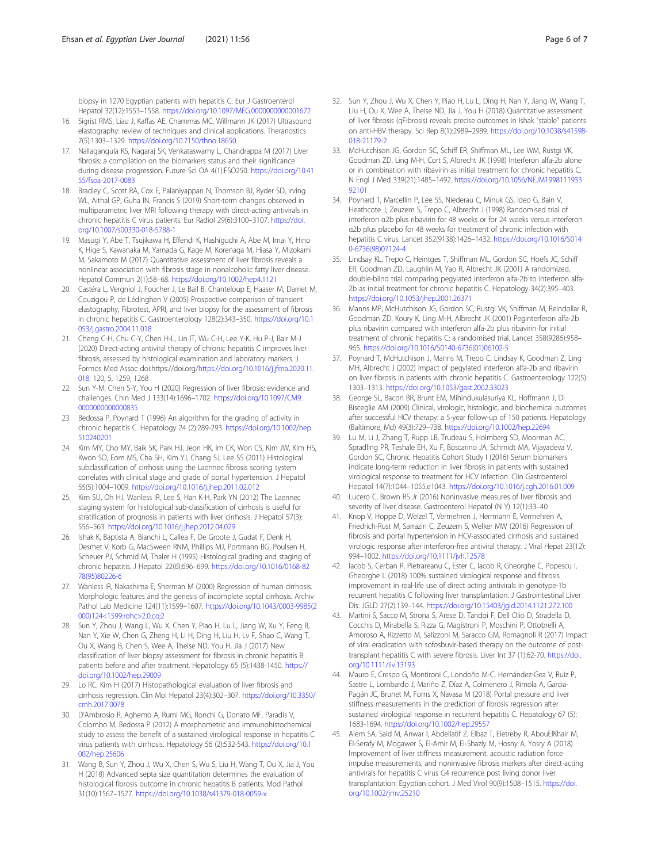<span id="page-5-0"></span>biopsy in 1270 Egyptian patients with hepatitis C. Eur J Gastroenterol Hepatol 32(12):1553–1558. <https://doi.org/10.1097/MEG.0000000000001672>

- 16. Sigrist RMS, Liau J, Kaffas AE, Chammas MC, Willmann JK (2017) Ultrasound elastography: review of techniques and clinical applications. Theranostics 7(5):1303–1329. <https://doi.org/10.7150/thno.18650>
- 17. Nallagangula KS, Nagaraj SK, Venkataswamy L, Chandrappa M (2017) Liver fibrosis: a compilation on the biomarkers status and their significance during disease progression. Future Sci OA 4(1):FSO250. [https://doi.org/10.41](https://doi.org/10.4155/fsoa-2017-0083) [55/fsoa-2017-0083](https://doi.org/10.4155/fsoa-2017-0083)
- 18. Bradley C, Scott RA, Cox E, Palaniyappan N, Thomson BJ, Ryder SD, Irving WL, Aithal GP, Guha IN, Francis S (2019) Short-term changes observed in multiparametric liver MRI following therapy with direct-acting antivirals in chronic hepatitis C virus patients. Eur Radiol 29(6):3100–3107. [https://doi.](https://doi.org/10.1007/s00330-018-5788-1) [org/10.1007/s00330-018-5788-1](https://doi.org/10.1007/s00330-018-5788-1)
- 19. Masugi Y, Abe T, Tsujikawa H, Effendi K, Hashiguchi A, Abe M, Imai Y, Hino K, Hige S, Kawanaka M, Yamada G, Kage M, Korenaga M, Hiasa Y, Mizokami M, Sakamoto M (2017) Quantitative assessment of liver fibrosis reveals a nonlinear association with fibrosis stage in nonalcoholic fatty liver disease. Hepatol Commun 2(1):58–68. <https://doi.org/10.1002/hep4.1121>
- 20. Castéra L, Vergniol J, Foucher J, Le Bail B, Chanteloup E, Haaser M, Darriet M, Couzigou P, de Lédinghen V (2005) Prospective comparison of transient elastography, Fibrotest, APRI, and liver biopsy for the assessment of fibrosis in chronic hepatitis C. Gastroenterology 128(2):343–350. [https://doi.org/10.1](https://doi.org/10.1053/j.gastro.2004.11.018) [053/j.gastro.2004.11.018](https://doi.org/10.1053/j.gastro.2004.11.018)
- 21. Cheng C-H, Chu C-Y, Chen H-L, Lin IT, Wu C-H, Lee Y-K, Hu P-J, Bair M-J (2020) Direct-acting antiviral therapy of chronic hepatitis C improves liver fibrosis, assessed by histological examination and laboratory markers. J Formos Med Assoc doi:https://doi.org/[https://doi.org/10.1016/j.jfma.2020.11.](https://doi.org/10.1016/j.jfma.2020.11.018) [018,](https://doi.org/10.1016/j.jfma.2020.11.018) 120, 5, 1259, 1268
- 22. Sun Y-M, Chen S-Y, You H (2020) Regression of liver fibrosis: evidence and challenges. Chin Med J 133(14):1696–1702. [https://doi.org/10.1097/CM9.](https://doi.org/10.1097/CM9.0000000000000835) [0000000000000835](https://doi.org/10.1097/CM9.0000000000000835)
- 23. Bedossa P, Poynard T (1996) An algorithm for the grading of activity in chronic hepatitis C. Hepatology 24 (2):289-293. [https://doi.org/10.1002/hep.](https://doi.org/10.1002/hep.510240201) [510240201](https://doi.org/10.1002/hep.510240201)
- 24. Kim MY, Cho MY, Baik SK, Park HJ, Jeon HK, Im CK, Won CS, Kim JW, Kim HS, Kwon SO, Eom MS, Cha SH, Kim YJ, Chang SJ, Lee SS (2011) Histological subclassification of cirrhosis using the Laennec fibrosis scoring system correlates with clinical stage and grade of portal hypertension. J Hepatol 55(5):1004–1009. <https://doi.org/10.1016/j.jhep.2011.02.012>
- 25. Kim SU, Oh HJ, Wanless IR, Lee S, Han K-H, Park YN (2012) The Laennec staging system for histological sub-classification of cirrhosis is useful for stratification of prognosis in patients with liver cirrhosis. J Hepatol 57(3): 556–563. <https://doi.org/10.1016/j.jhep.2012.04.029>
- 26. Ishak K, Baptista A, Bianchi L, Callea F, De Groote J, Gudat F, Denk H, Desmet V, Korb G, MacSween RNM, Phillips MJ, Portmann BG, Poulsen H, Scheuer PJ, Schmid M, Thaler H (1995) Histological grading and staging of chronic hepatitis. J Hepatol 22(6):696–699. [https://doi.org/10.1016/0168-82](https://doi.org/10.1016/0168-8278(95)80226-6) [78\(95\)80226-6](https://doi.org/10.1016/0168-8278(95)80226-6)
- 27. Wanless IR, Nakashima E, Sherman M (2000) Regression of human cirrhosis. Morphologic features and the genesis of incomplete septal cirrhosis. Archiv Pathol Lab Medicine 124(11):1599–1607. [https://doi.org/10.1043/0003-9985\(2](https://doi.org/10.1043/0003-9985(2000)124<1599:rohc>2.0.co;2) [000\)124<1599:rohc>2.0.co;2](https://doi.org/10.1043/0003-9985(2000)124<1599:rohc>2.0.co;2)
- 28. Sun Y, Zhou J, Wang L, Wu X, Chen Y, Piao H, Lu L, Jiang W, Xu Y, Feng B, Nan Y, Xie W, Chen G, Zheng H, Li H, Ding H, Liu H, Lv F, Shao C, Wang T, Ou X, Wang B, Chen S, Wee A, Theise ND, You H, Jia J (2017) New classification of liver biopsy assessment for fibrosis in chronic hepatitis B patients before and after treatment. Hepatology 65 (5):1438-1450. [https://](https://doi.org/10.1002/hep.29009) [doi.org/10.1002/hep.29009](https://doi.org/10.1002/hep.29009)
- 29. Lo RC, Kim H (2017) Histopathological evaluation of liver fibrosis and cirrhosis regression. Clin Mol Hepatol 23(4):302–307. [https://doi.org/10.3350/](https://doi.org/10.3350/cmh.2017.0078) [cmh.2017.0078](https://doi.org/10.3350/cmh.2017.0078)
- 30. D'Ambrosio R, Aghemo A, Rumi MG, Ronchi G, Donato MF, Paradis V, Colombo M, Bedossa P (2012) A morphometric and immunohistochemical study to assess the benefit of a sustained virological response in hepatitis C virus patients with cirrhosis. Hepatology 56 (2):532-543. [https://doi.org/10.1](https://doi.org/10.1002/hep.25606) [002/hep.25606](https://doi.org/10.1002/hep.25606)
- 31. Wang B, Sun Y, Zhou J, Wu X, Chen S, Wu S, Liu H, Wang T, Ou X, Jia J, You H (2018) Advanced septa size quantitation determines the evaluation of histological fibrosis outcome in chronic hepatitis B patients. Mod Pathol 31(10):1567–1577. <https://doi.org/10.1038/s41379-018-0059-x>
- 32. Sun Y, Zhou J, Wu X, Chen Y, Piao H, Lu L, Ding H, Nan Y, Jiang W, Wang T, Liu H, Ou X, Wee A, Theise ND, Jia J, You H (2018) Quantitative assessment of liver fibrosis (qFibrosis) reveals precise outcomes in Ishak "stable" patients on anti-HBV therapy. Sci Rep 8(1):2989–2989. [https://doi.org/10.1038/s41598-](https://doi.org/10.1038/s41598-018-21179-2) [018-21179-2](https://doi.org/10.1038/s41598-018-21179-2)
- 33. McHutchison JG, Gordon SC, Schiff ER, Shiffman ML, Lee WM, Rustgi VK, Goodman ZD, Ling M-H, Cort S, Albrecht JK (1998) Interferon alfa-2b alone or in combination with ribavirin as initial treatment for chronic hepatitis C. N Engl J Med 339(21):1485–1492. [https://doi.org/10.1056/NEJM1998111933](https://doi.org/10.1056/NEJM199811193392101) [92101](https://doi.org/10.1056/NEJM199811193392101)
- 34. Poynard T, Marcellin P, Lee SS, Niederau C, Minuk GS, Ideo G, Bain V, Heathcote J, Zeuzem S, Trepo C, Albrecht J (1998) Randomised trial of interferon α2b plus ribavirin for 48 weeks or for 24 weeks versus interferon α2b plus placebo for 48 weeks for treatment of chronic infection with hepatitis C virus. Lancet 352(9138):1426–1432. [https://doi.org/10.1016/S014](https://doi.org/10.1016/S0140-6736(98)07124-4) [0-6736\(98\)07124-4](https://doi.org/10.1016/S0140-6736(98)07124-4)
- 35. Lindsay KL, Trepo C, Heintges T, Shiffman ML, Gordon SC, Hoefs JC, Schiff ER, Goodman ZD, Laughlin M, Yao R, Albrecht JK (2001) A randomized, double-blind trial comparing pegylated interferon alfa-2b to interferon alfa-2b as initial treatment for chronic hepatitis C. Hepatology 34(2):395–403. <https://doi.org/10.1053/jhep.2001.26371>
- 36. Manns MP, McHutchison JG, Gordon SC, Rustgi VK, Shiffman M, Reindollar R, Goodman ZD, Koury K, Ling M-H, Albrecht JK (2001) Peginterferon alfa-2b plus ribavirin compared with interferon alfa-2b plus ribavirin for initial treatment of chronic hepatitis C: a randomised trial. Lancet 358(9286):958– 965. [https://doi.org/10.1016/S0140-6736\(01\)06102-5](https://doi.org/10.1016/S0140-6736(01)06102-5)
- 37. Poynard T, McHutchison J, Manns M, Trepo C, Lindsay K, Goodman Z, Ling MH, Albrecht J (2002) Impact of pegylated interferon alfa-2b and ribavirin on liver fibrosis in patients with chronic hepatitis C. Gastroenterology 122(5): 1303–1313. <https://doi.org/10.1053/gast.2002.33023>
- 38. George SL, Bacon BR, Brunt EM, Mihindukulasuriya KL, Hoffmann J, Di Bisceglie AM (2009) Clinical, virologic, histologic, and biochemical outcomes after successful HCV therapy: a 5-year follow-up of 150 patients. Hepatology (Baltimore, Md) 49(3):729–738. <https://doi.org/10.1002/hep.22694>
- 39. Lu M, Li J, Zhang T, Rupp LB, Trudeau S, Holmberg SD, Moorman AC, Spradling PR, Teshale EH, Xu F, Boscarino JA, Schmidt MA, Vijayadeva V, Gordon SC, Chronic Hepatitis Cohort Study I (2016) Serum biomarkers indicate long-term reduction in liver fibrosis in patients with sustained virological response to treatment for HCV infection. Clin Gastroenterol Hepatol 14(7):1044–1055.e1043. <https://doi.org/10.1016/j.cgh.2016.01.009>
- 40. Lucero C, Brown RS Jr (2016) Noninvasive measures of liver fibrosis and severity of liver disease. Gastroenterol Hepatol (N Y) 12(1):33–40
- 41. Knop V, Hoppe D, Welzel T, Vermehren J, Herrmann E, Vermehren A, Friedrich-Rust M, Sarrazin C, Zeuzem S, Welker MW (2016) Regression of fibrosis and portal hypertension in HCV-associated cirrhosis and sustained virologic response after interferon-free antiviral therapy. J Viral Hepat 23(12): 994–1002. <https://doi.org/10.1111/jvh.12578>
- 42. Iacob S, Cerban R, Pietrareanu C, Ester C, Iacob R, Gheorghe C, Popescu I, Gheorghe L (2018) 100% sustained virological response and fibrosis improvement in real-life use of direct acting antivirals in genotype-1b recurrent hepatitis C following liver transplantation. J Gastrointestinal Liver Dis: JGLD 27(2):139–144. <https://doi.org/10.15403/jgld.2014.1121.272.100>
- 43. Martini S, Sacco M, Strona S, Arese D, Tandoi F, Dell Olio D, Stradella D, Cocchis D, Mirabella S, Rizza G, Magistroni P, Moschini P, Ottobrelli A, Amoroso A, Rizzetto M, Salizzoni M, Saracco GM, Romagnoli R (2017) Impact of viral eradication with sofosbuvir-based therapy on the outcome of posttransplant hepatitis C with severe fibrosis. Liver Int 37 (1):62-70. [https://doi.](https://doi.org/10.1111/liv.13193) [org/10.1111/liv.13193](https://doi.org/10.1111/liv.13193)
- 44. Mauro E, Crespo G, Montironi C, Londoño M-C, Hernández-Gea V, Ruiz P, Sastre L, Lombardo J, Mariño Z, Díaz A, Colmenero J, Rimola A, Garcia-Pagán JC, Brunet M, Forns X, Navasa M (2018) Portal pressure and liver stiffness measurements in the prediction of fibrosis regression after sustained virological response in recurrent hepatitis C. Hepatology 67 (5): 1683-1694. <https://doi.org/10.1002/hep.29557>
- 45. Alem SA, Said M, Anwar I, Abdellatif Z, Elbaz T, Eletreby R, AbouElKhair M, El-Serafy M, Mogawer S, El-Amir M, El-Shazly M, Hosny A, Yosry A (2018) Improvement of liver stiffness measurement, acoustic radiation force impulse measurements, and noninvasive fibrosis markers after direct-acting antivirals for hepatitis C virus G4 recurrence post living donor liver transplantation: Egyptian cohort. J Med Virol 90(9):1508–1515. [https://doi.](https://doi.org/10.1002/jmv.25210) [org/10.1002/jmv.25210](https://doi.org/10.1002/jmv.25210)